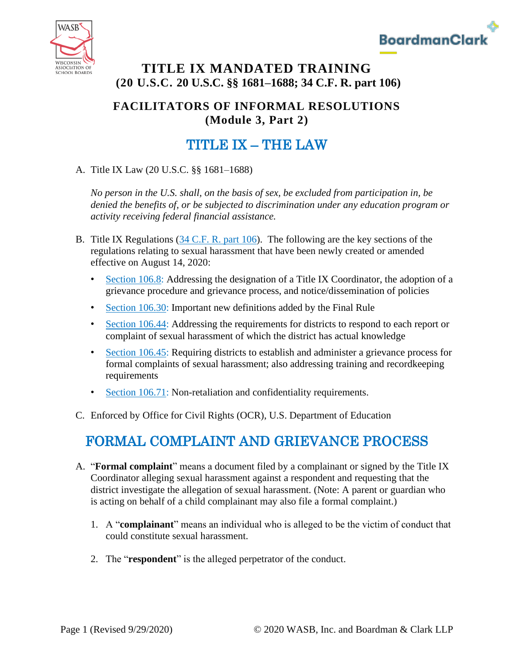



### **TITLE IX MANDATED TRAINING (20 U.S.C. 20 U.S.C. §§ 1681–1688; 34 C.F. R. part 106)**

### **FACILITATORS OF INFORMAL RESOLUTIONS (Module 3, Part 2)**

# TITLE IX – THE LAW

A. Title IX Law (20 U.S.C. §§ 1681–1688)

*No person in the U.S. shall, on the basis of sex, be excluded from participation in, be denied the benefits of, or be subjected to discrimination under any education program or activity receiving federal financial assistance.*

- B. Title IX Regulations [\(34 C.F. R. part 106\)](https://www.ecfr.gov/cgi-bin/text-idx?SID=fc07436402329bf6ae010e4d8de896b8&mc=true&node=pt34.1.106&rgn=div5). The following are the key sections of the regulations relating to sexual harassment that have been newly created or amended effective on August 14, 2020:
	- [Section 106.8:](https://www.ecfr.gov/cgi-bin/text-idx?SID=c33768d6976f861806e232b3a0f124b4&mc=true&node=se34.1.106_18&rgn=div8) Addressing the designation of a Title IX Coordinator, the adoption of a grievance procedure and grievance process, and notice/dissemination of policies
	- [Section 106.30:](https://www.ecfr.gov/cgi-bin/text-idx?SID=c33768d6976f861806e232b3a0f124b4&mc=true&node=se34.1.106_130&rgn=div8) Important new definitions added by the Final Rule
	- [Section 106.44:](https://www.ecfr.gov/cgi-bin/text-idx?SID=c33768d6976f861806e232b3a0f124b4&mc=true&node=se34.1.106_144&rgn=div8) Addressing the requirements for districts to respond to each report or complaint of sexual harassment of which the district has actual knowledge
	- [Section 106.45:](https://www.ecfr.gov/cgi-bin/text-idx?SID=c33768d6976f861806e232b3a0f124b4&mc=true&node=se34.1.106_145&rgn=div8) Requiring districts to establish and administer a grievance process for formal complaints of sexual harassment; also addressing training and recordkeeping requirements
	- [Section 106.71:](https://www.ecfr.gov/cgi-bin/text-idx?SID=c33768d6976f861806e232b3a0f124b4&mc=true&node=se34.1.106_171&rgn=div8) Non-retaliation and confidentiality requirements.
- C. Enforced by Office for Civil Rights (OCR), U.S. Department of Education

# FORMAL COMPLAINT AND GRIEVANCE PROCESS

- A. "**Formal complaint**" means a document filed by a complainant or signed by the Title IX Coordinator alleging sexual harassment against a respondent and requesting that the district investigate the allegation of sexual harassment. (Note: A parent or guardian who is acting on behalf of a child complainant may also file a formal complaint.)
	- 1. A "**complainant**" means an individual who is alleged to be the victim of conduct that could constitute sexual harassment.
	- 2. The "**respondent**" is the alleged perpetrator of the conduct.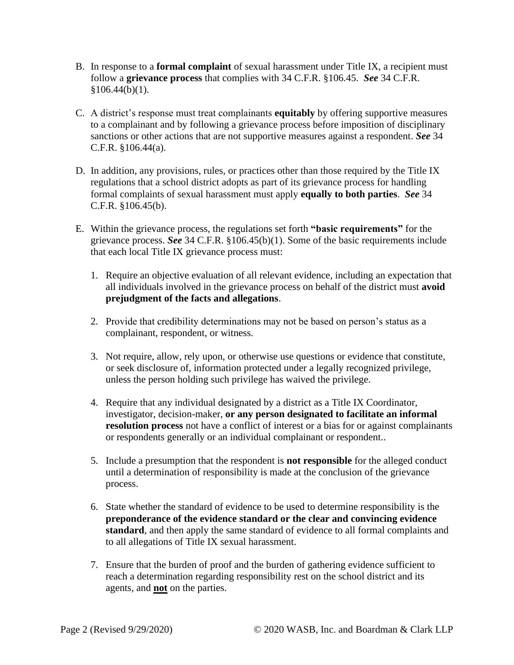- B. In response to a **formal complaint** of sexual harassment under Title IX, a recipient must follow a **grievance process** that complies with 34 C.F.R. §106.45. *See* 34 C.F.R.  $§106.44(b)(1).$
- C. A district's response must treat complainants **equitably** by offering supportive measures to a complainant and by following a grievance process before imposition of disciplinary sanctions or other actions that are not supportive measures against a respondent. *See* 34 C.F.R. §106.44(a).
- D. In addition, any provisions, rules, or practices other than those required by the Title IX regulations that a school district adopts as part of its grievance process for handling formal complaints of sexual harassment must apply **equally to both parties**. *See* 34 C.F.R. §106.45(b).
- E. Within the grievance process, the regulations set forth **"basic requirements"** for the grievance process. *See* 34 C.F.R. §106.45(b)(1). Some of the basic requirements include that each local Title IX grievance process must:
	- 1. Require an objective evaluation of all relevant evidence, including an expectation that all individuals involved in the grievance process on behalf of the district must **avoid prejudgment of the facts and allegations**.
	- 2. Provide that credibility determinations may not be based on person's status as a complainant, respondent, or witness.
	- 3. Not require, allow, rely upon, or otherwise use questions or evidence that constitute, or seek disclosure of, information protected under a legally recognized privilege, unless the person holding such privilege has waived the privilege.
	- 4. Require that any individual designated by a district as a Title IX Coordinator, investigator, decision-maker, **or any person designated to facilitate an informal resolution process** not have a conflict of interest or a bias for or against complainants or respondents generally or an individual complainant or respondent..
	- 5. Include a presumption that the respondent is **not responsible** for the alleged conduct until a determination of responsibility is made at the conclusion of the grievance process.
	- 6. State whether the standard of evidence to be used to determine responsibility is the **preponderance of the evidence standard or the clear and convincing evidence standard**, and then apply the same standard of evidence to all formal complaints and to all allegations of Title IX sexual harassment.
	- 7. Ensure that the burden of proof and the burden of gathering evidence sufficient to reach a determination regarding responsibility rest on the school district and its agents, and **not** on the parties.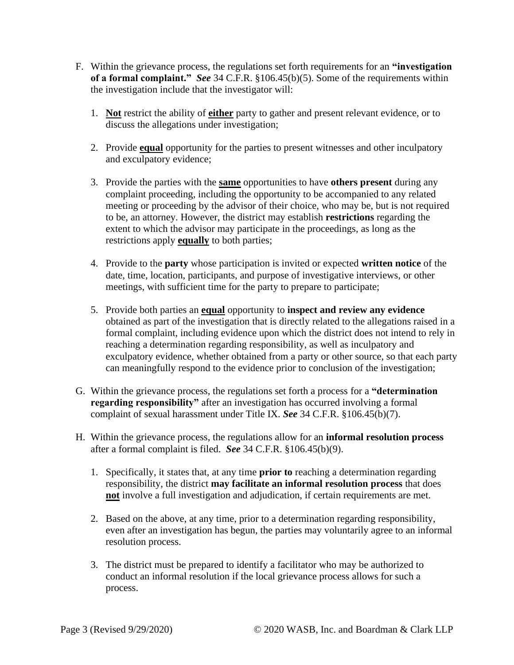- F. Within the grievance process, the regulations set forth requirements for an **"investigation of a formal complaint."** *See* 34 C.F.R. §106.45(b)(5). Some of the requirements within the investigation include that the investigator will:
	- 1. **Not** restrict the ability of **either** party to gather and present relevant evidence, or to discuss the allegations under investigation;
	- 2. Provide **equal** opportunity for the parties to present witnesses and other inculpatory and exculpatory evidence;
	- 3. Provide the parties with the **same** opportunities to have **others present** during any complaint proceeding, including the opportunity to be accompanied to any related meeting or proceeding by the advisor of their choice, who may be, but is not required to be, an attorney. However, the district may establish **restrictions** regarding the extent to which the advisor may participate in the proceedings, as long as the restrictions apply **equally** to both parties;
	- 4. Provide to the **party** whose participation is invited or expected **written notice** of the date, time, location, participants, and purpose of investigative interviews, or other meetings, with sufficient time for the party to prepare to participate;
	- 5. Provide both parties an **equal** opportunity to **inspect and review any evidence** obtained as part of the investigation that is directly related to the allegations raised in a formal complaint, including evidence upon which the district does not intend to rely in reaching a determination regarding responsibility, as well as inculpatory and exculpatory evidence, whether obtained from a party or other source, so that each party can meaningfully respond to the evidence prior to conclusion of the investigation;
- G. Within the grievance process, the regulations set forth a process for a **"determination regarding responsibility"** after an investigation has occurred involving a formal complaint of sexual harassment under Title IX. *See* 34 C.F.R. §106.45(b)(7).
- H. Within the grievance process, the regulations allow for an **informal resolution process** after a formal complaint is filed. *See* 34 C.F.R. §106.45(b)(9).
	- 1. Specifically, it states that, at any time **prior to** reaching a determination regarding responsibility, the district **may facilitate an informal resolution process** that does **not** involve a full investigation and adjudication, if certain requirements are met.
	- 2. Based on the above, at any time, prior to a determination regarding responsibility, even after an investigation has begun, the parties may voluntarily agree to an informal resolution process.
	- 3. The district must be prepared to identify a facilitator who may be authorized to conduct an informal resolution if the local grievance process allows for such a process.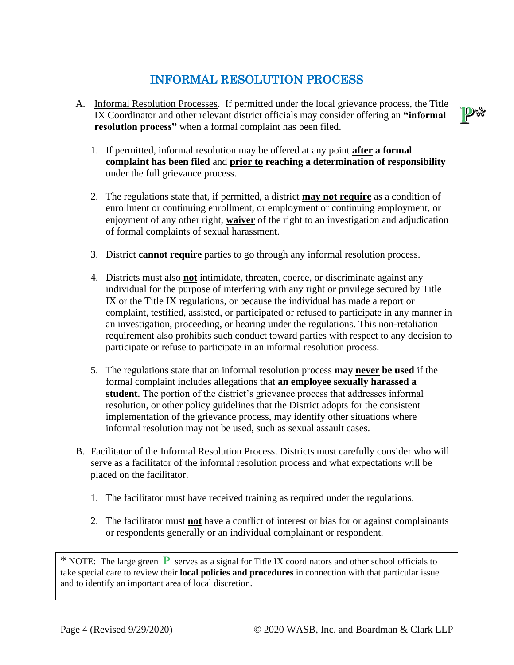## INFORMAL RESOLUTION PROCESS

- A. Informal Resolution Processes. If permitted under the local grievance process, the Title IX Coordinator and other relevant district officials may consider offering an **"informal resolution process"** when a formal complaint has been filed.
	- 1. If permitted, informal resolution may be offered at any point **after a formal complaint has been filed** and **prior to reaching a determination of responsibility** under the full grievance process.
	- 2. The regulations state that, if permitted, a district **may not require** as a condition of enrollment or continuing enrollment, or employment or continuing employment, or enjoyment of any other right, **waiver** of the right to an investigation and adjudication of formal complaints of sexual harassment.
	- 3. District **cannot require** parties to go through any informal resolution process.
	- 4. Districts must also **not** intimidate, threaten, coerce, or discriminate against any individual for the purpose of interfering with any right or privilege secured by Title IX or the Title IX regulations, or because the individual has made a report or complaint, testified, assisted, or participated or refused to participate in any manner in an investigation, proceeding, or hearing under the regulations. This non-retaliation requirement also prohibits such conduct toward parties with respect to any decision to participate or refuse to participate in an informal resolution process.
	- 5. The regulations state that an informal resolution process **may never be used** if the formal complaint includes allegations that **an employee sexually harassed a student**. The portion of the district's grievance process that addresses informal resolution, or other policy guidelines that the District adopts for the consistent implementation of the grievance process, may identify other situations where informal resolution may not be used, such as sexual assault cases.
- B. Facilitator of the Informal Resolution Process. Districts must carefully consider who will serve as a facilitator of the informal resolution process and what expectations will be placed on the facilitator.
	- 1. The facilitator must have received training as required under the regulations.
	- 2. The facilitator must **not** have a conflict of interest or bias for or against complainants or respondents generally or an individual complainant or respondent.

\* NOTE: The large green **P** serves as a signal for Title IX coordinators and other school officials to take special care to review their **local policies and procedures** in connection with that particular issue and to identify an important area of local discretion.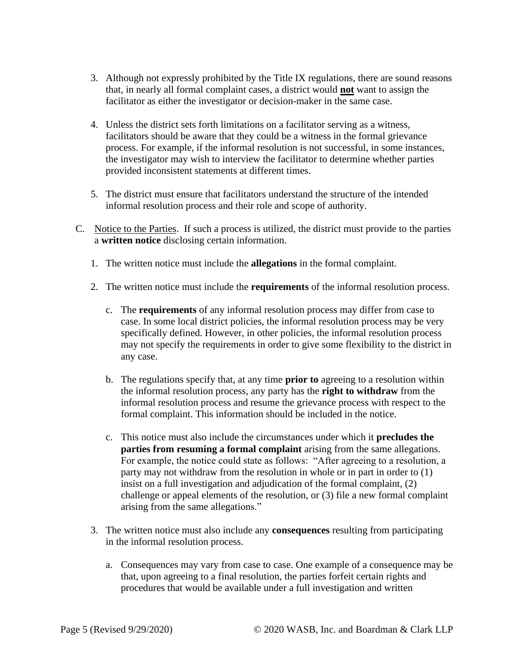- 3. Although not expressly prohibited by the Title IX regulations, there are sound reasons that, in nearly all formal complaint cases, a district would **not** want to assign the facilitator as either the investigator or decision-maker in the same case.
- 4. Unless the district sets forth limitations on a facilitator serving as a witness, facilitators should be aware that they could be a witness in the formal grievance process. For example, if the informal resolution is not successful, in some instances, the investigator may wish to interview the facilitator to determine whether parties provided inconsistent statements at different times.
- 5. The district must ensure that facilitators understand the structure of the intended informal resolution process and their role and scope of authority.
- C. Notice to the Parties. If such a process is utilized, the district must provide to the parties a **written notice** disclosing certain information.
	- 1. The written notice must include the **allegations** in the formal complaint.
	- 2. The written notice must include the **requirements** of the informal resolution process.
		- c. The **requirements** of any informal resolution process may differ from case to case. In some local district policies, the informal resolution process may be very specifically defined. However, in other policies, the informal resolution process may not specify the requirements in order to give some flexibility to the district in any case.
		- b. The regulations specify that, at any time **prior to** agreeing to a resolution within the informal resolution process, any party has the **right to withdraw** from the informal resolution process and resume the grievance process with respect to the formal complaint. This information should be included in the notice.
		- c. This notice must also include the circumstances under which it **precludes the parties from resuming a formal complaint** arising from the same allegations. For example, the notice could state as follows: "After agreeing to a resolution, a party may not withdraw from the resolution in whole or in part in order to (1) insist on a full investigation and adjudication of the formal complaint, (2) challenge or appeal elements of the resolution, or (3) file a new formal complaint arising from the same allegations."
	- 3. The written notice must also include any **consequences** resulting from participating in the informal resolution process.
		- a. Consequences may vary from case to case. One example of a consequence may be that, upon agreeing to a final resolution, the parties forfeit certain rights and procedures that would be available under a full investigation and written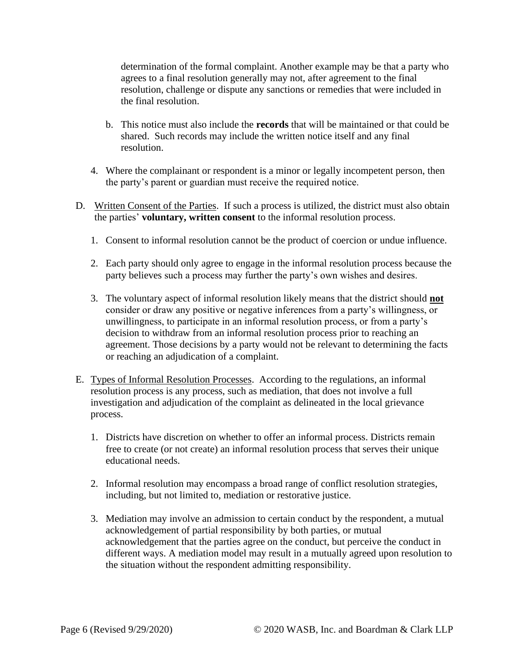determination of the formal complaint. Another example may be that a party who agrees to a final resolution generally may not, after agreement to the final resolution, challenge or dispute any sanctions or remedies that were included in the final resolution.

- b. This notice must also include the **records** that will be maintained or that could be shared. Such records may include the written notice itself and any final resolution.
- 4. Where the complainant or respondent is a minor or legally incompetent person, then the party's parent or guardian must receive the required notice.
- D. Written Consent of the Parties. If such a process is utilized, the district must also obtain the parties' **voluntary, written consent** to the informal resolution process.
	- 1. Consent to informal resolution cannot be the product of coercion or undue influence.
	- 2. Each party should only agree to engage in the informal resolution process because the party believes such a process may further the party's own wishes and desires.
	- 3. The voluntary aspect of informal resolution likely means that the district should **not** consider or draw any positive or negative inferences from a party's willingness, or unwillingness, to participate in an informal resolution process, or from a party's decision to withdraw from an informal resolution process prior to reaching an agreement. Those decisions by a party would not be relevant to determining the facts or reaching an adjudication of a complaint.
- E. Types of Informal Resolution Processes. According to the regulations, an informal resolution process is any process, such as mediation, that does not involve a full investigation and adjudication of the complaint as delineated in the local grievance process.
	- 1. Districts have discretion on whether to offer an informal process. Districts remain free to create (or not create) an informal resolution process that serves their unique educational needs.
	- 2. Informal resolution may encompass a broad range of conflict resolution strategies, including, but not limited to, mediation or restorative justice.
	- 3. Mediation may involve an admission to certain conduct by the respondent, a mutual acknowledgement of partial responsibility by both parties, or mutual acknowledgement that the parties agree on the conduct, but perceive the conduct in different ways. A mediation model may result in a mutually agreed upon resolution to the situation without the respondent admitting responsibility.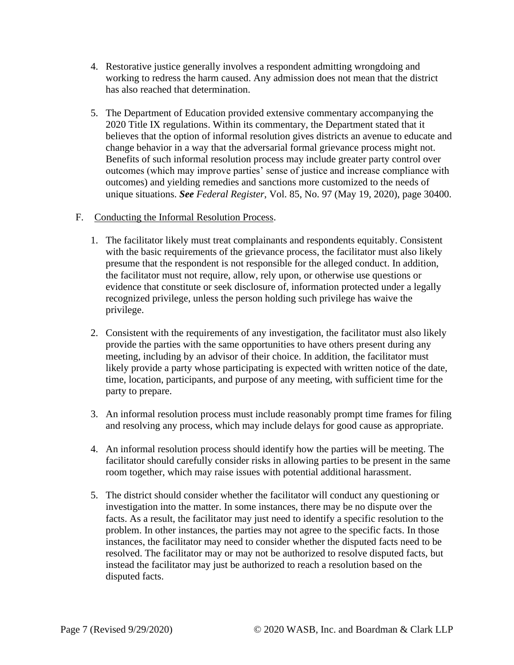- 4. Restorative justice generally involves a respondent admitting wrongdoing and working to redress the harm caused. Any admission does not mean that the district has also reached that determination.
- 5. The Department of Education provided extensive commentary accompanying the 2020 Title IX regulations. Within its commentary, the Department stated that it believes that the option of informal resolution gives districts an avenue to educate and change behavior in a way that the adversarial formal grievance process might not. Benefits of such informal resolution process may include greater party control over outcomes (which may improve parties' sense of justice and increase compliance with outcomes) and yielding remedies and sanctions more customized to the needs of unique situations. *See Federal Register*, Vol. 85, No. 97 (May 19, 2020), page 30400.
- F. Conducting the Informal Resolution Process.
	- 1. The facilitator likely must treat complainants and respondents equitably. Consistent with the basic requirements of the grievance process, the facilitator must also likely presume that the respondent is not responsible for the alleged conduct. In addition, the facilitator must not require, allow, rely upon, or otherwise use questions or evidence that constitute or seek disclosure of, information protected under a legally recognized privilege, unless the person holding such privilege has waive the privilege.
	- 2. Consistent with the requirements of any investigation, the facilitator must also likely provide the parties with the same opportunities to have others present during any meeting, including by an advisor of their choice. In addition, the facilitator must likely provide a party whose participating is expected with written notice of the date, time, location, participants, and purpose of any meeting, with sufficient time for the party to prepare.
	- 3. An informal resolution process must include reasonably prompt time frames for filing and resolving any process, which may include delays for good cause as appropriate.
	- 4. An informal resolution process should identify how the parties will be meeting. The facilitator should carefully consider risks in allowing parties to be present in the same room together, which may raise issues with potential additional harassment.
	- 5. The district should consider whether the facilitator will conduct any questioning or investigation into the matter. In some instances, there may be no dispute over the facts. As a result, the facilitator may just need to identify a specific resolution to the problem. In other instances, the parties may not agree to the specific facts. In those instances, the facilitator may need to consider whether the disputed facts need to be resolved. The facilitator may or may not be authorized to resolve disputed facts, but instead the facilitator may just be authorized to reach a resolution based on the disputed facts.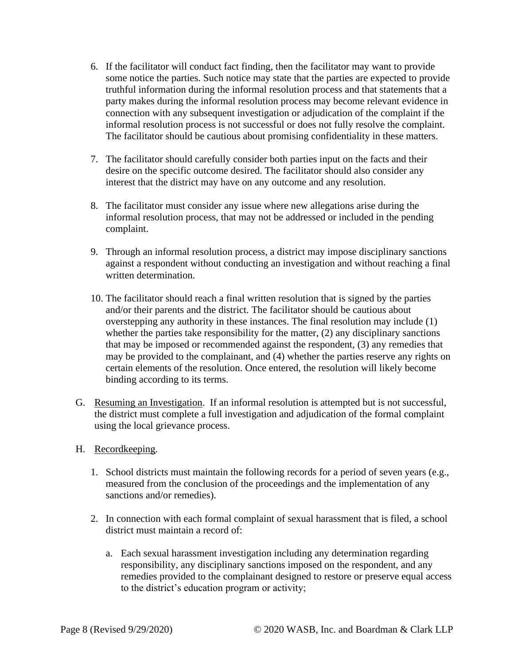- 6. If the facilitator will conduct fact finding, then the facilitator may want to provide some notice the parties. Such notice may state that the parties are expected to provide truthful information during the informal resolution process and that statements that a party makes during the informal resolution process may become relevant evidence in connection with any subsequent investigation or adjudication of the complaint if the informal resolution process is not successful or does not fully resolve the complaint. The facilitator should be cautious about promising confidentiality in these matters.
- 7. The facilitator should carefully consider both parties input on the facts and their desire on the specific outcome desired. The facilitator should also consider any interest that the district may have on any outcome and any resolution.
- 8. The facilitator must consider any issue where new allegations arise during the informal resolution process, that may not be addressed or included in the pending complaint.
- 9. Through an informal resolution process, a district may impose disciplinary sanctions against a respondent without conducting an investigation and without reaching a final written determination.
- 10. The facilitator should reach a final written resolution that is signed by the parties and/or their parents and the district. The facilitator should be cautious about overstepping any authority in these instances. The final resolution may include (1) whether the parties take responsibility for the matter, (2) any disciplinary sanctions that may be imposed or recommended against the respondent, (3) any remedies that may be provided to the complainant, and (4) whether the parties reserve any rights on certain elements of the resolution. Once entered, the resolution will likely become binding according to its terms.
- G. Resuming an Investigation. If an informal resolution is attempted but is not successful, the district must complete a full investigation and adjudication of the formal complaint using the local grievance process.
- H. Recordkeeping.
	- 1. School districts must maintain the following records for a period of seven years (e.g., measured from the conclusion of the proceedings and the implementation of any sanctions and/or remedies).
	- 2. In connection with each formal complaint of sexual harassment that is filed, a school district must maintain a record of:
		- a. Each sexual harassment investigation including any determination regarding responsibility, any disciplinary sanctions imposed on the respondent, and any remedies provided to the complainant designed to restore or preserve equal access to the district's education program or activity;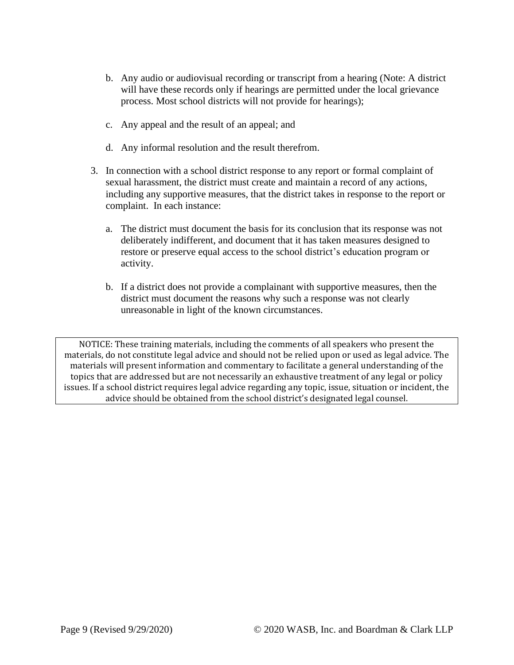- b. Any audio or audiovisual recording or transcript from a hearing (Note: A district will have these records only if hearings are permitted under the local grievance process. Most school districts will not provide for hearings);
- c. Any appeal and the result of an appeal; and
- d. Any informal resolution and the result therefrom.
- 3. In connection with a school district response to any report or formal complaint of sexual harassment, the district must create and maintain a record of any actions, including any supportive measures, that the district takes in response to the report or complaint. In each instance:
	- a. The district must document the basis for its conclusion that its response was not deliberately indifferent, and document that it has taken measures designed to restore or preserve equal access to the school district's education program or activity.
	- b. If a district does not provide a complainant with supportive measures, then the district must document the reasons why such a response was not clearly unreasonable in light of the known circumstances.

NOTICE: These training materials, including the comments of all speakers who present the materials, do not constitute legal advice and should not be relied upon or used as legal advice. The materials will present information and commentary to facilitate a general understanding of the topics that are addressed but are not necessarily an exhaustive treatment of any legal or policy issues. If a school district requires legal advice regarding any topic, issue, situation or incident, the advice should be obtained from the school district's designated legal counsel.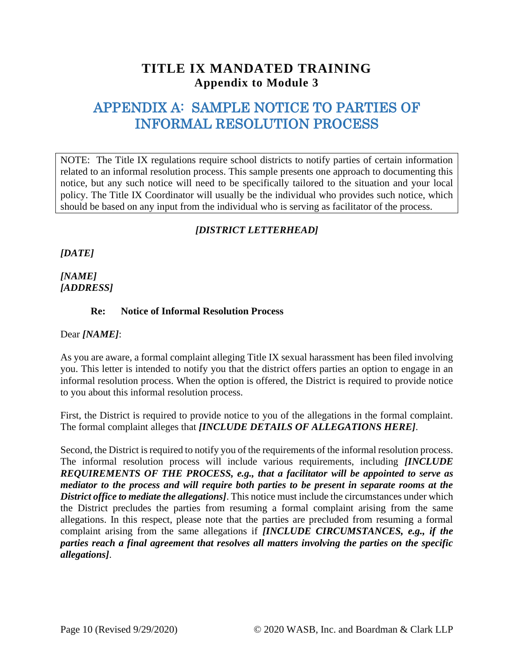### **TITLE IX MANDATED TRAINING Appendix to Module 3**

## APPENDIX A: SAMPLE NOTICE TO PARTIES OF INFORMAL RESOLUTION PROCESS

NOTE: The Title IX regulations require school districts to notify parties of certain information related to an informal resolution process. This sample presents one approach to documenting this notice, but any such notice will need to be specifically tailored to the situation and your local policy. The Title IX Coordinator will usually be the individual who provides such notice, which should be based on any input from the individual who is serving as facilitator of the process.

### *[DISTRICT LETTERHEAD]*

*[DATE]* 

*[NAME] [ADDRESS]*

#### **Re: Notice of Informal Resolution Process**

Dear *[NAME]*:

As you are aware, a formal complaint alleging Title IX sexual harassment has been filed involving you. This letter is intended to notify you that the district offers parties an option to engage in an informal resolution process. When the option is offered, the District is required to provide notice to you about this informal resolution process.

First, the District is required to provide notice to you of the allegations in the formal complaint. The formal complaint alleges that *[INCLUDE DETAILS OF ALLEGATIONS HERE]*.

Second, the District is required to notify you of the requirements of the informal resolution process. The informal resolution process will include various requirements, including *[INCLUDE REQUIREMENTS OF THE PROCESS, e.g., that a facilitator will be appointed to serve as mediator to the process and will require both parties to be present in separate rooms at the District office to mediate the allegations]*. This notice must include the circumstances under which the District precludes the parties from resuming a formal complaint arising from the same allegations. In this respect, please note that the parties are precluded from resuming a formal complaint arising from the same allegations if *[INCLUDE CIRCUMSTANCES, e.g., if the parties reach a final agreement that resolves all matters involving the parties on the specific allegations]*.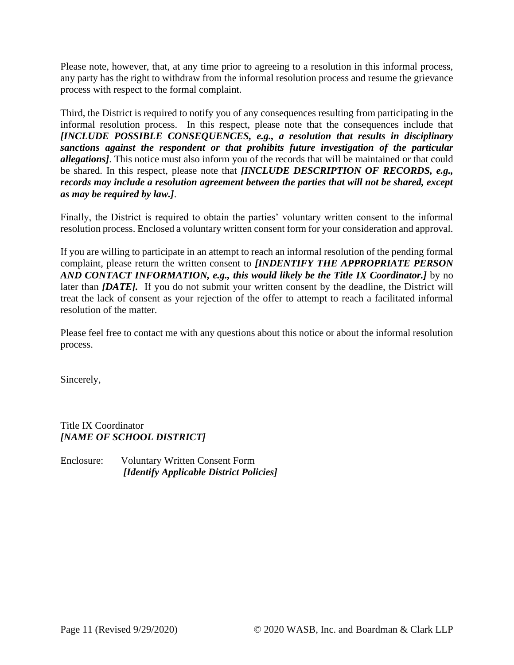Please note, however, that, at any time prior to agreeing to a resolution in this informal process, any party has the right to withdraw from the informal resolution process and resume the grievance process with respect to the formal complaint.

Third, the District is required to notify you of any consequences resulting from participating in the informal resolution process. In this respect, please note that the consequences include that *[INCLUDE POSSIBLE CONSEQUENCES, e.g., a resolution that results in disciplinary sanctions against the respondent or that prohibits future investigation of the particular allegations]*. This notice must also inform you of the records that will be maintained or that could be shared. In this respect, please note that *[INCLUDE DESCRIPTION OF RECORDS, e.g., records may include a resolution agreement between the parties that will not be shared, except as may be required by law.]*.

Finally, the District is required to obtain the parties' voluntary written consent to the informal resolution process. Enclosed a voluntary written consent form for your consideration and approval.

If you are willing to participate in an attempt to reach an informal resolution of the pending formal complaint, please return the written consent to *[INDENTIFY THE APPROPRIATE PERSON AND CONTACT INFORMATION, e.g., this would likely be the Title IX Coordinator.]* by no later than *[DATE]*. If you do not submit your written consent by the deadline, the District will treat the lack of consent as your rejection of the offer to attempt to reach a facilitated informal resolution of the matter.

Please feel free to contact me with any questions about this notice or about the informal resolution process.

Sincerely,

Title IX Coordinator *[NAME OF SCHOOL DISTRICT]*

Enclosure: Voluntary Written Consent Form *[Identify Applicable District Policies]*